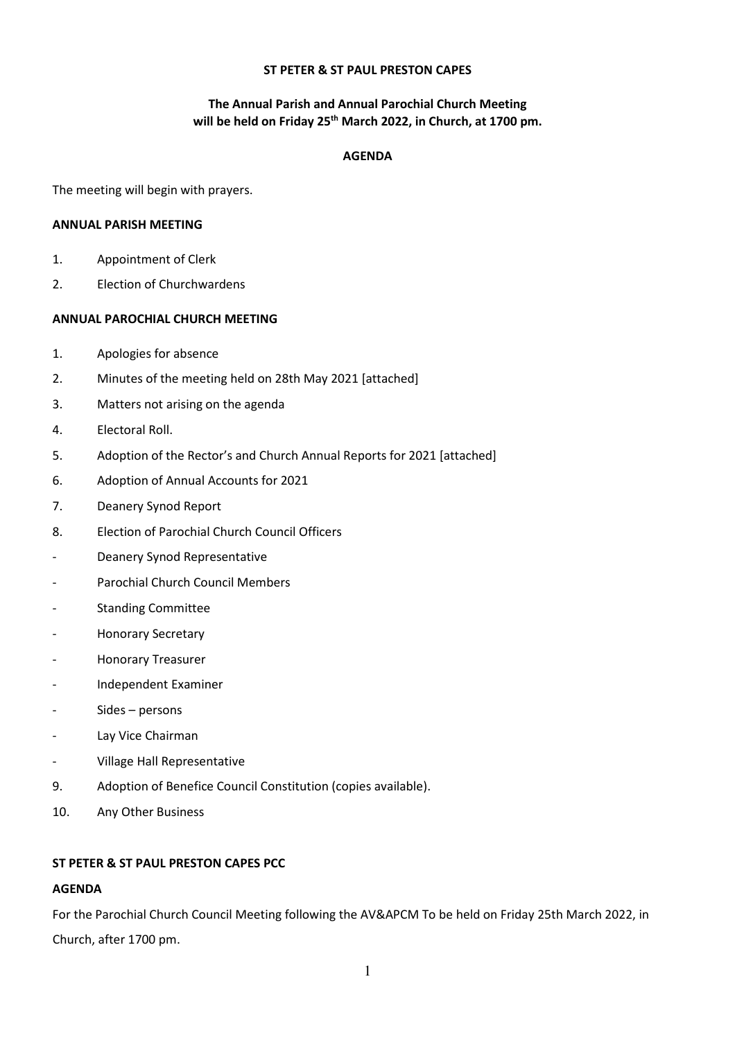#### ST PETER & ST PAUL PRESTON CAPES

### The Annual Parish and Annual Parochial Church Meeting will be held on Friday 25<sup>th</sup> March 2022, in Church, at 1700 pm.

#### AGENDA

The meeting will begin with prayers.

### ANNUAL PARISH MEETING

- 1. Appointment of Clerk
- 2. Election of Churchwardens

#### ANNUAL PAROCHIAL CHURCH MEETING

- 1. Apologies for absence
- 2. Minutes of the meeting held on 28th May 2021 [attached]
- 3. Matters not arising on the agenda
- 4. Electoral Roll.
- 5. Adoption of the Rector's and Church Annual Reports for 2021 [attached]
- 6. Adoption of Annual Accounts for 2021
- 7. Deanery Synod Report
- 8. Election of Parochial Church Council Officers
- Deanery Synod Representative
- Parochial Church Council Members
- Standing Committee
- Honorary Secretary
- Honorary Treasurer
- Independent Examiner
- Sides persons
- Lay Vice Chairman
- Village Hall Representative
- 9. Adoption of Benefice Council Constitution (copies available).
- 10. Any Other Business

#### ST PETER & ST PAUL PRESTON CAPES PCC

#### AGENDA

For the Parochial Church Council Meeting following the AV&APCM To be held on Friday 25th March 2022, in Church, after 1700 pm.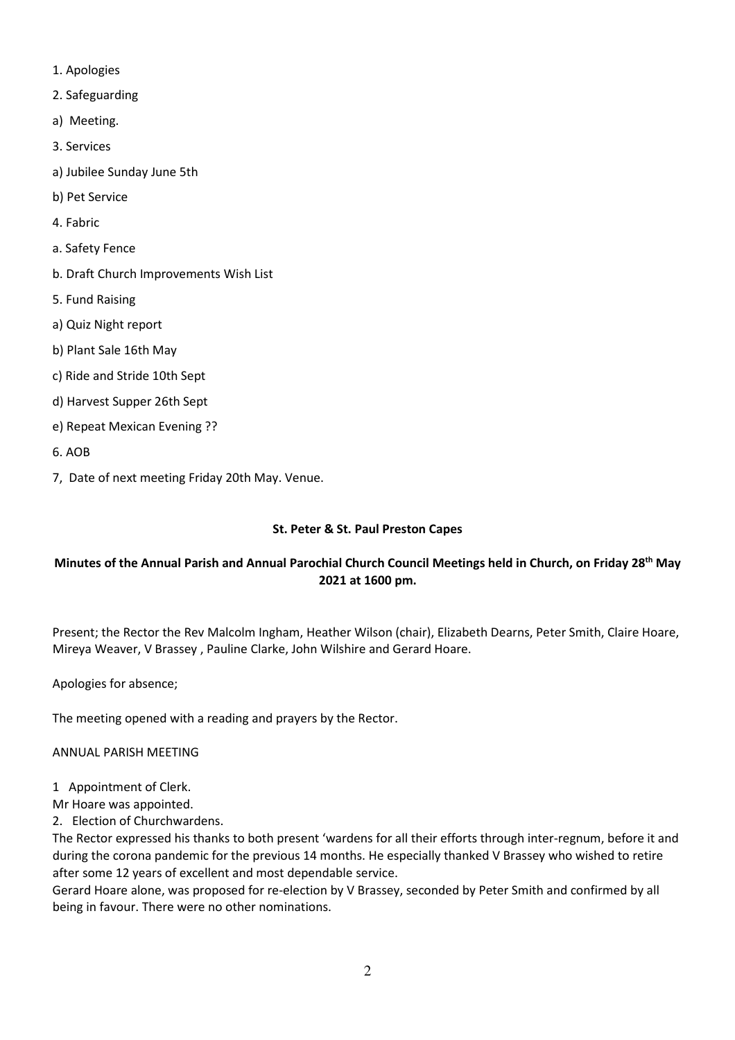- 1. Apologies
- 2. Safeguarding
- a) Meeting.
- 3. Services
- a) Jubilee Sunday June 5th
- b) Pet Service
- 4. Fabric
- a. Safety Fence
- b. Draft Church Improvements Wish List
- 5. Fund Raising
- a) Quiz Night report
- b) Plant Sale 16th May
- c) Ride and Stride 10th Sept
- d) Harvest Supper 26th Sept
- e) Repeat Mexican Evening ??
- 6. AOB
- 7, Date of next meeting Friday 20th May. Venue.

# St. Peter & St. Paul Preston Capes

# Minutes of the Annual Parish and Annual Parochial Church Council Meetings held in Church, on Friday 28th May 2021 at 1600 pm.

Present; the Rector the Rev Malcolm Ingham, Heather Wilson (chair), Elizabeth Dearns, Peter Smith, Claire Hoare, Mireya Weaver, V Brassey , Pauline Clarke, John Wilshire and Gerard Hoare.

Apologies for absence;

The meeting opened with a reading and prayers by the Rector.

### ANNUAL PARISH MEETING

1 Appointment of Clerk.

Mr Hoare was appointed.

2. Election of Churchwardens.

The Rector expressed his thanks to both present 'wardens for all their efforts through inter-regnum, before it and during the corona pandemic for the previous 14 months. He especially thanked V Brassey who wished to retire after some 12 years of excellent and most dependable service.

Gerard Hoare alone, was proposed for re-election by V Brassey, seconded by Peter Smith and confirmed by all being in favour. There were no other nominations.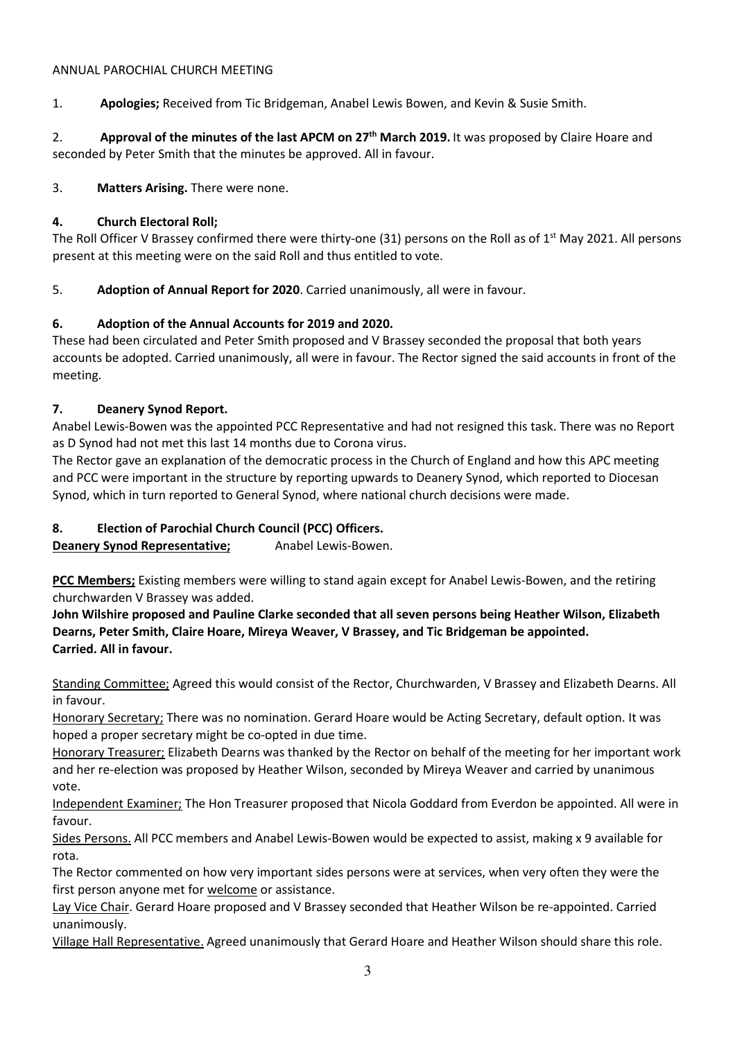### ANNUAL PAROCHIAL CHURCH MEETING

1. Apologies; Received from Tic Bridgeman, Anabel Lewis Bowen, and Kevin & Susie Smith.

2. Approval of the minutes of the last APCM on 27<sup>th</sup> March 2019. It was proposed by Claire Hoare and seconded by Peter Smith that the minutes be approved. All in favour.

3. Matters Arising. There were none.

## 4. Church Electoral Roll;

The Roll Officer V Brassey confirmed there were thirty-one (31) persons on the Roll as of  $1<sup>st</sup>$  May 2021. All persons present at this meeting were on the said Roll and thus entitled to vote.

5. Adoption of Annual Report for 2020. Carried unanimously, all were in favour.

## 6. Adoption of the Annual Accounts for 2019 and 2020.

These had been circulated and Peter Smith proposed and V Brassey seconded the proposal that both years accounts be adopted. Carried unanimously, all were in favour. The Rector signed the said accounts in front of the meeting.

## 7. Deanery Synod Report.

Anabel Lewis-Bowen was the appointed PCC Representative and had not resigned this task. There was no Report as D Synod had not met this last 14 months due to Corona virus.

The Rector gave an explanation of the democratic process in the Church of England and how this APC meeting and PCC were important in the structure by reporting upwards to Deanery Synod, which reported to Diocesan Synod, which in turn reported to General Synod, where national church decisions were made.

# 8. Election of Parochial Church Council (PCC) Officers.

Deanery Synod Representative; Anabel Lewis-Bowen.

PCC Members; Existing members were willing to stand again except for Anabel Lewis-Bowen, and the retiring churchwarden V Brassey was added.

John Wilshire proposed and Pauline Clarke seconded that all seven persons being Heather Wilson, Elizabeth Dearns, Peter Smith, Claire Hoare, Mireya Weaver, V Brassey, and Tic Bridgeman be appointed. Carried. All in favour.

Standing Committee; Agreed this would consist of the Rector, Churchwarden, V Brassey and Elizabeth Dearns. All in favour.

Honorary Secretary; There was no nomination. Gerard Hoare would be Acting Secretary, default option. It was hoped a proper secretary might be co-opted in due time.

Honorary Treasurer; Elizabeth Dearns was thanked by the Rector on behalf of the meeting for her important work and her re-election was proposed by Heather Wilson, seconded by Mireya Weaver and carried by unanimous vote.

Independent Examiner; The Hon Treasurer proposed that Nicola Goddard from Everdon be appointed. All were in favour.

Sides Persons. All PCC members and Anabel Lewis-Bowen would be expected to assist, making x 9 available for rota.

The Rector commented on how very important sides persons were at services, when very often they were the first person anyone met for welcome or assistance.

Lay Vice Chair. Gerard Hoare proposed and V Brassey seconded that Heather Wilson be re-appointed. Carried unanimously.

Village Hall Representative. Agreed unanimously that Gerard Hoare and Heather Wilson should share this role.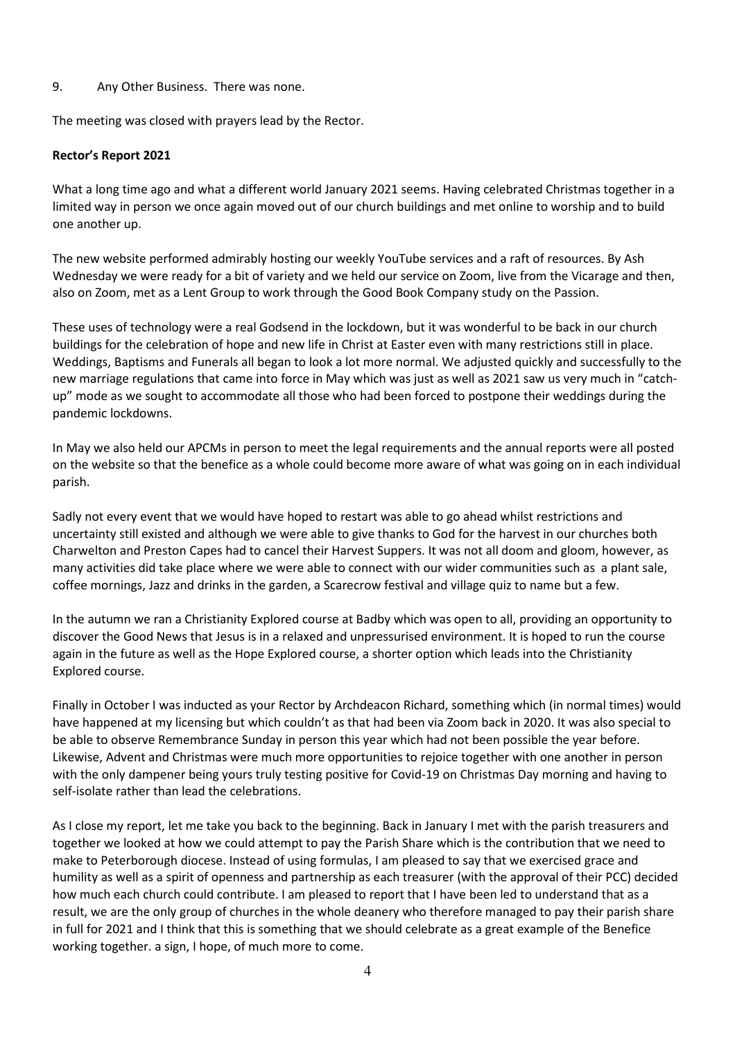#### 9. Any Other Business. There was none.

The meeting was closed with prayers lead by the Rector.

### Rector's Report 2021

What a long time ago and what a different world January 2021 seems. Having celebrated Christmas together in a limited way in person we once again moved out of our church buildings and met online to worship and to build one another up.

The new website performed admirably hosting our weekly YouTube services and a raft of resources. By Ash Wednesday we were ready for a bit of variety and we held our service on Zoom, live from the Vicarage and then, also on Zoom, met as a Lent Group to work through the Good Book Company study on the Passion.

These uses of technology were a real Godsend in the lockdown, but it was wonderful to be back in our church buildings for the celebration of hope and new life in Christ at Easter even with many restrictions still in place. Weddings, Baptisms and Funerals all began to look a lot more normal. We adjusted quickly and successfully to the new marriage regulations that came into force in May which was just as well as 2021 saw us very much in "catchup" mode as we sought to accommodate all those who had been forced to postpone their weddings during the pandemic lockdowns.

In May we also held our APCMs in person to meet the legal requirements and the annual reports were all posted on the website so that the benefice as a whole could become more aware of what was going on in each individual parish.

Sadly not every event that we would have hoped to restart was able to go ahead whilst restrictions and uncertainty still existed and although we were able to give thanks to God for the harvest in our churches both Charwelton and Preston Capes had to cancel their Harvest Suppers. It was not all doom and gloom, however, as many activities did take place where we were able to connect with our wider communities such as a plant sale, coffee mornings, Jazz and drinks in the garden, a Scarecrow festival and village quiz to name but a few.

In the autumn we ran a Christianity Explored course at Badby which was open to all, providing an opportunity to discover the Good News that Jesus is in a relaxed and unpressurised environment. It is hoped to run the course again in the future as well as the Hope Explored course, a shorter option which leads into the Christianity Explored course.

Finally in October I was inducted as your Rector by Archdeacon Richard, something which (in normal times) would have happened at my licensing but which couldn't as that had been via Zoom back in 2020. It was also special to be able to observe Remembrance Sunday in person this year which had not been possible the year before. Likewise, Advent and Christmas were much more opportunities to rejoice together with one another in person with the only dampener being yours truly testing positive for Covid-19 on Christmas Day morning and having to self-isolate rather than lead the celebrations.

As I close my report, let me take you back to the beginning. Back in January I met with the parish treasurers and together we looked at how we could attempt to pay the Parish Share which is the contribution that we need to make to Peterborough diocese. Instead of using formulas, I am pleased to say that we exercised grace and humility as well as a spirit of openness and partnership as each treasurer (with the approval of their PCC) decided how much each church could contribute. I am pleased to report that I have been led to understand that as a result, we are the only group of churches in the whole deanery who therefore managed to pay their parish share in full for 2021 and I think that this is something that we should celebrate as a great example of the Benefice working together. a sign, I hope, of much more to come.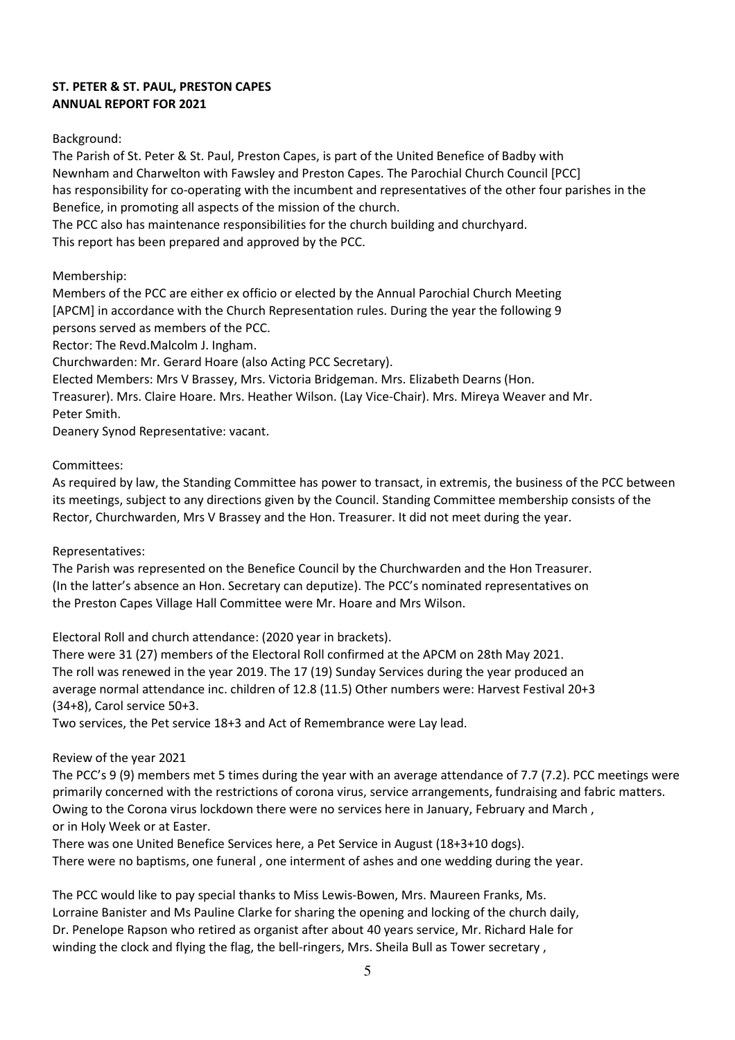## ST. PETER & ST. PAUL, PRESTON CAPES ANNUAL REPORT FOR 2021

Background:

The Parish of St. Peter & St. Paul, Preston Capes, is part of the United Benefice of Badby with Newnham and Charwelton with Fawsley and Preston Capes. The Parochial Church Council [PCC] has responsibility for co-operating with the incumbent and representatives of the other four parishes in the Benefice, in promoting all aspects of the mission of the church.

The PCC also has maintenance responsibilities for the church building and churchyard.

This report has been prepared and approved by the PCC.

## Membership:

Members of the PCC are either ex officio or elected by the Annual Parochial Church Meeting [APCM] in accordance with the Church Representation rules. During the year the following 9 persons served as members of the PCC.

Rector: The Revd.Malcolm J. Ingham.

Churchwarden: Mr. Gerard Hoare (also Acting PCC Secretary).

Elected Members: Mrs V Brassey, Mrs. Victoria Bridgeman. Mrs. Elizabeth Dearns (Hon.

Treasurer). Mrs. Claire Hoare. Mrs. Heather Wilson. (Lay Vice-Chair). Mrs. Mireya Weaver and Mr. Peter Smith.

Deanery Synod Representative: vacant.

## Committees:

As required by law, the Standing Committee has power to transact, in extremis, the business of the PCC between its meetings, subject to any directions given by the Council. Standing Committee membership consists of the Rector, Churchwarden, Mrs V Brassey and the Hon. Treasurer. It did not meet during the year.

### Representatives:

The Parish was represented on the Benefice Council by the Churchwarden and the Hon Treasurer. (In the latter's absence an Hon. Secretary can deputize). The PCC's nominated representatives on the Preston Capes Village Hall Committee were Mr. Hoare and Mrs Wilson.

Electoral Roll and church attendance: (2020 year in brackets).

There were 31 (27) members of the Electoral Roll confirmed at the APCM on 28th May 2021. The roll was renewed in the year 2019. The 17 (19) Sunday Services during the year produced an average normal attendance inc. children of 12.8 (11.5) Other numbers were: Harvest Festival 20+3 (34+8), Carol service 50+3.

Two services, the Pet service 18+3 and Act of Remembrance were Lay lead.

# Review of the year 2021

The PCC's 9 (9) members met 5 times during the year with an average attendance of 7.7 (7.2). PCC meetings were primarily concerned with the restrictions of corona virus, service arrangements, fundraising and fabric matters. Owing to the Corona virus lockdown there were no services here in January, February and March , or in Holy Week or at Easter.

There was one United Benefice Services here, a Pet Service in August (18+3+10 dogs). There were no baptisms, one funeral , one interment of ashes and one wedding during the year.

The PCC would like to pay special thanks to Miss Lewis-Bowen, Mrs. Maureen Franks, Ms. Lorraine Banister and Ms Pauline Clarke for sharing the opening and locking of the church daily, Dr. Penelope Rapson who retired as organist after about 40 years service, Mr. Richard Hale for winding the clock and flying the flag, the bell-ringers, Mrs. Sheila Bull as Tower secretary ,